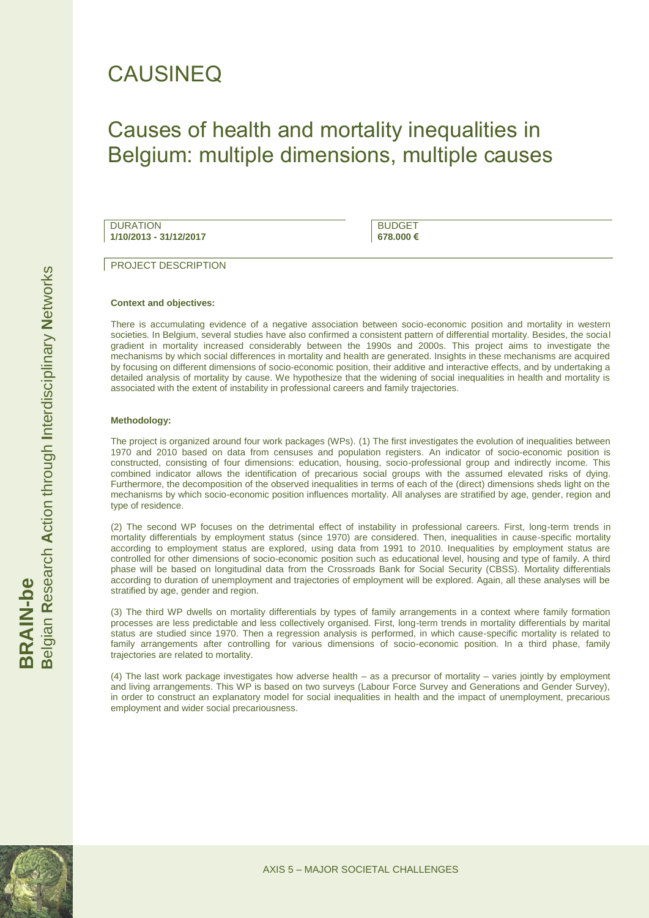# CAUSINEQ

# Causes of health and mortality inequalities in Belgium: multiple dimensions, multiple causes

**DURATION 1/10/2013 - 31/12/2017**

BUDGET **678.000 €**

PROJECT DESCRIPTION

### **Context and objectives:**

There is accumulating evidence of a negative association between socio-economic position and mortality in western societies. In Belgium, several studies have also confirmed a consistent pattern of differential mortality. Besides, the social gradient in mortality increased considerably between the 1990s and 2000s. This project aims to investigate the mechanisms by which social differences in mortality and health are generated. Insights in these mechanisms are acquired by focusing on different dimensions of socio-economic position, their additive and interactive effects, and by undertaking a detailed analysis of mortality by cause. We hypothesize that the widening of social inequalities in health and mortality is associated with the extent of instability in professional careers and family trajectories.

## **Methodology:**

The project is organized around four work packages (WPs). (1) The first investigates the evolution of inequalities between 1970 and 2010 based on data from censuses and population registers. An indicator of socio-economic position is constructed, consisting of four dimensions: education, housing, socio-professional group and indirectly income. This combined indicator allows the identification of precarious social groups with the assumed elevated risks of dying. Furthermore, the decomposition of the observed inequalities in terms of each of the (direct) dimensions sheds light on the mechanisms by which socio-economic position influences mortality. All analyses are stratified by age, gender, region and type of residence.

(2) The second WP focuses on the detrimental effect of instability in professional careers. First, long-term trends in mortality differentials by employment status (since 1970) are considered. Then, inequalities in cause-specific mortality according to employment status are explored, using data from 1991 to 2010. Inequalities by employment status are controlled for other dimensions of socio-economic position such as educational level, housing and type of family. A third phase will be based on longitudinal data from the Crossroads Bank for Social Security (CBSS). Mortality differentials according to duration of unemployment and trajectories of employment will be explored. Again, all these analyses will be stratified by age, gender and region.

(3) The third WP dwells on mortality differentials by types of family arrangements in a context where family formation processes are less predictable and less collectively organised. First, long-term trends in mortality differentials by marital status are studied since 1970. Then a regression analysis is performed, in which cause-specific mortality is related to family arrangements after controlling for various dimensions of socio-economic position. In a third phase, family trajectories are related to mortality.

(4) The last work package investigates how adverse health – as a precursor of mortality – varies jointly by employment and living arrangements. This WP is based on two surveys (Labour Force Survey and Generations and Gender Survey), in order to construct an explanatory model for social inequalities in health and the impact of unemployment, precarious employment and wider social precariousness.